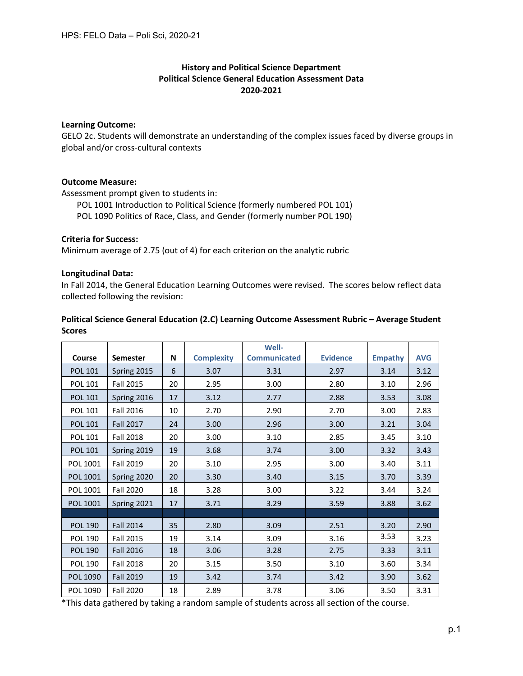# **History and Political Science Department Political Science General Education Assessment Data 2020-2021**

## **Learning Outcome:**

GELO 2c. Students will demonstrate an understanding of the complex issues faced by diverse groups in global and/or cross-cultural contexts

## **Outcome Measure:**

Assessment prompt given to students in:

POL 1001 Introduction to Political Science (formerly numbered POL 101)

POL 1090 Politics of Race, Class, and Gender (formerly number POL 190)

## **Criteria for Success:**

Minimum average of 2.75 (out of 4) for each criterion on the analytic rubric

## **Longitudinal Data:**

In Fall 2014, the General Education Learning Outcomes were revised. The scores below reflect data collected following the revision:

## **Political Science General Education (2.C) Learning Outcome Assessment Rubric – Average Student Scores**

|                |                  |    |                   | Well-               |                 |                |            |
|----------------|------------------|----|-------------------|---------------------|-----------------|----------------|------------|
| Course         | <b>Semester</b>  | N  | <b>Complexity</b> | <b>Communicated</b> | <b>Evidence</b> | <b>Empathy</b> | <b>AVG</b> |
| <b>POL 101</b> | Spring 2015      | 6  | 3.07              | 3.31                | 2.97            | 3.14           | 3.12       |
| POL 101        | <b>Fall 2015</b> | 20 | 2.95              | 3.00                | 2.80            | 3.10           | 2.96       |
| <b>POL 101</b> | Spring 2016      | 17 | 3.12              | 2.77                | 2.88            | 3.53           | 3.08       |
| <b>POL 101</b> | <b>Fall 2016</b> | 10 | 2.70              | 2.90                | 2.70            | 3.00           | 2.83       |
| <b>POL 101</b> | <b>Fall 2017</b> | 24 | 3.00              | 2.96                | 3.00            | 3.21           | 3.04       |
| POL 101        | <b>Fall 2018</b> | 20 | 3.00              | 3.10                | 2.85            | 3.45           | 3.10       |
| <b>POL 101</b> | Spring 2019      | 19 | 3.68              | 3.74                | 3.00            | 3.32           | 3.43       |
| POL 1001       | <b>Fall 2019</b> | 20 | 3.10              | 2.95                | 3.00            | 3.40           | 3.11       |
| POL 1001       | Spring 2020      | 20 | 3.30              | 3.40                | 3.15            | 3.70           | 3.39       |
| POL 1001       | <b>Fall 2020</b> | 18 | 3.28              | 3.00                | 3.22            | 3.44           | 3.24       |
| POL 1001       | Spring 2021      | 17 | 3.71              | 3.29                | 3.59            | 3.88           | 3.62       |
|                |                  |    |                   |                     |                 |                |            |
| <b>POL 190</b> | <b>Fall 2014</b> | 35 | 2.80              | 3.09                | 2.51            | 3.20           | 2.90       |
| <b>POL 190</b> | <b>Fall 2015</b> | 19 | 3.14              | 3.09                | 3.16            | 3.53           | 3.23       |
| <b>POL 190</b> | <b>Fall 2016</b> | 18 | 3.06              | 3.28                | 2.75            | 3.33           | 3.11       |
| <b>POL 190</b> | <b>Fall 2018</b> | 20 | 3.15              | 3.50                | 3.10            | 3.60           | 3.34       |
| POL 1090       | <b>Fall 2019</b> | 19 | 3.42              | 3.74                | 3.42            | 3.90           | 3.62       |
| POL 1090       | <b>Fall 2020</b> | 18 | 2.89              | 3.78                | 3.06            | 3.50           | 3.31       |

\*This data gathered by taking a random sample of students across all section of the course.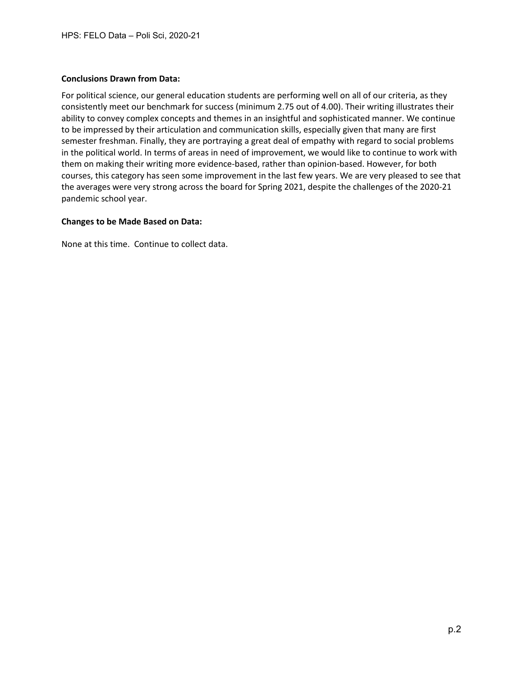#### **Conclusions Drawn from Data:**

For political science, our general education students are performing well on all of our criteria, as they consistently meet our benchmark for success (minimum 2.75 out of 4.00). Their writing illustrates their ability to convey complex concepts and themes in an insightful and sophisticated manner. We continue to be impressed by their articulation and communication skills, especially given that many are first semester freshman. Finally, they are portraying a great deal of empathy with regard to social problems in the political world. In terms of areas in need of improvement, we would like to continue to work with them on making their writing more evidence-based, rather than opinion-based. However, for both courses, this category has seen some improvement in the last few years. We are very pleased to see that the averages were very strong across the board for Spring 2021, despite the challenges of the 2020-21 pandemic school year.

## **Changes to be Made Based on Data:**

None at this time. Continue to collect data.